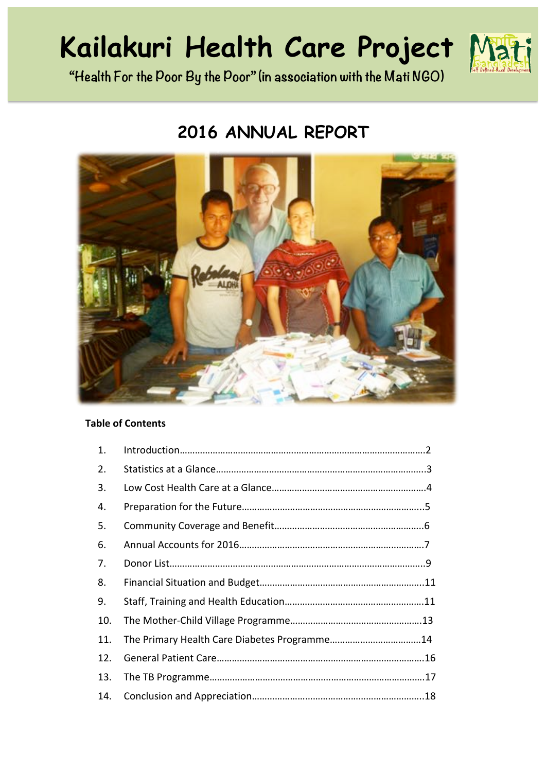# **Kailakuri Health Care Project**



**"Health For the Poor By the Poor" (in association with the Mati NGO)**

# **2016 ANNUAL REPORT**



# **Table of Contents**

| 1.  |  |
|-----|--|
| 2.  |  |
| 3.  |  |
| 4.  |  |
| 5.  |  |
| 6.  |  |
| 7.  |  |
| 8.  |  |
| 9.  |  |
| 10. |  |
| 11. |  |
| 12. |  |
| 13. |  |
| 14. |  |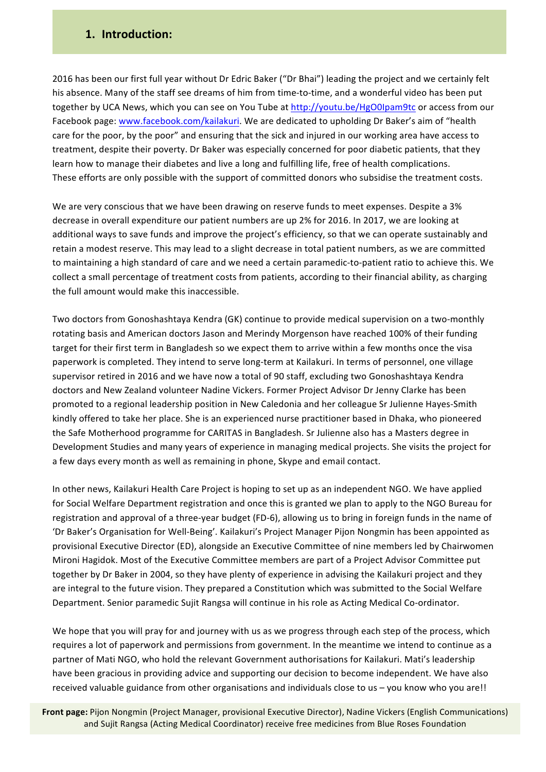### **1. Introduction:**

2016 has been our first full year without Dr Edric Baker ("Dr Bhai") leading the project and we certainly felt his absence. Many of the staff see dreams of him from time-to-time, and a wonderful video has been put together by UCA News, which you can see on You Tube at http://youtu.be/HgO0Ipam9tc or access from our Facebook page: www.facebook.com/kailakuri. We are dedicated to upholding Dr Baker's aim of "health care for the poor, by the poor" and ensuring that the sick and injured in our working area have access to treatment, despite their poverty. Dr Baker was especially concerned for poor diabetic patients, that they learn how to manage their diabetes and live a long and fulfilling life, free of health complications. These efforts are only possible with the support of committed donors who subsidise the treatment costs.

We are very conscious that we have been drawing on reserve funds to meet expenses. Despite a 3% decrease in overall expenditure our patient numbers are up 2% for 2016. In 2017, we are looking at additional ways to save funds and improve the project's efficiency, so that we can operate sustainably and retain a modest reserve. This may lead to a slight decrease in total patient numbers, as we are committed to maintaining a high standard of care and we need a certain paramedic-to-patient ratio to achieve this. We collect a small percentage of treatment costs from patients, according to their financial ability, as charging the full amount would make this inaccessible.

Two doctors from Gonoshashtaya Kendra (GK) continue to provide medical supervision on a two-monthly rotating basis and American doctors Jason and Merindy Morgenson have reached 100% of their funding target for their first term in Bangladesh so we expect them to arrive within a few months once the visa paperwork is completed. They intend to serve long-term at Kailakuri. In terms of personnel, one village supervisor retired in 2016 and we have now a total of 90 staff, excluding two Gonoshashtaya Kendra doctors and New Zealand volunteer Nadine Vickers. Former Project Advisor Dr Jenny Clarke has been promoted to a regional leadership position in New Caledonia and her colleague Sr Julienne Hayes-Smith kindly offered to take her place. She is an experienced nurse practitioner based in Dhaka, who pioneered the Safe Motherhood programme for CARITAS in Bangladesh. Sr Julienne also has a Masters degree in Development Studies and many years of experience in managing medical projects. She visits the project for a few days every month as well as remaining in phone, Skype and email contact.

In other news, Kailakuri Health Care Project is hoping to set up as an independent NGO. We have applied for Social Welfare Department registration and once this is granted we plan to apply to the NGO Bureau for registration and approval of a three-year budget (FD-6), allowing us to bring in foreign funds in the name of 'Dr Baker's Organisation for Well-Being'. Kailakuri's Project Manager Pijon Nongmin has been appointed as provisional Executive Director (ED), alongside an Executive Committee of nine members led by Chairwomen Mironi Hagidok. Most of the Executive Committee members are part of a Project Advisor Committee put together by Dr Baker in 2004, so they have plenty of experience in advising the Kailakuri project and they are integral to the future vision. They prepared a Constitution which was submitted to the Social Welfare Department. Senior paramedic Sujit Rangsa will continue in his role as Acting Medical Co-ordinator.

We hope that you will pray for and journey with us as we progress through each step of the process, which requires a lot of paperwork and permissions from government. In the meantime we intend to continue as a partner of Mati NGO, who hold the relevant Government authorisations for Kailakuri. Mati's leadership have been gracious in providing advice and supporting our decision to become independent. We have also received valuable guidance from other organisations and individuals close to us - you know who you are!!

and Sujit Rangsa (Acting Medical Coordinator) receive free medicines from Blue Roses Foundation **Front page:** Pijon Nongmin (Project Manager, provisional Executive Director), Nadine Vickers (English Communications)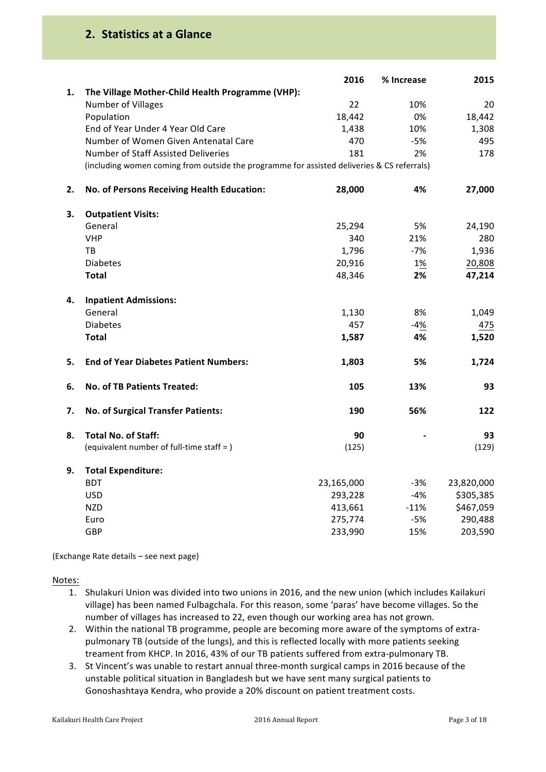# **2. Statistics at a Glance**

|    |                                                                                            | 2016       | % Increase | 2015       |
|----|--------------------------------------------------------------------------------------------|------------|------------|------------|
| 1. | The Village Mother-Child Health Programme (VHP):                                           |            |            |            |
|    | Number of Villages                                                                         | 22         | 10%        | 20         |
|    | Population                                                                                 | 18,442     | 0%         | 18,442     |
|    | End of Year Under 4 Year Old Care                                                          | 1,438      | 10%        | 1,308      |
|    | Number of Women Given Antenatal Care                                                       | 470        | $-5%$      | 495        |
|    | Number of Staff Assisted Deliveries                                                        | 181        | 2%         | 178        |
|    | (including women coming from outside the programme for assisted deliveries & CS referrals) |            |            |            |
| 2. | No. of Persons Receiving Health Education:                                                 | 28,000     | 4%         | 27,000     |
| 3. | <b>Outpatient Visits:</b>                                                                  |            |            |            |
|    | General                                                                                    | 25,294     | 5%         | 24,190     |
|    | <b>VHP</b>                                                                                 | 340        | 21%        | 280        |
|    | TB                                                                                         | 1,796      | $-7%$      | 1,936      |
|    | <b>Diabetes</b>                                                                            | 20,916     | 1%         | 20,808     |
|    | <b>Total</b>                                                                               | 48,346     | 2%         | 47,214     |
| 4. | <b>Inpatient Admissions:</b>                                                               |            |            |            |
|    | General                                                                                    | 1,130      | 8%         | 1,049      |
|    | <b>Diabetes</b>                                                                            | 457        | $-4%$      | 475        |
|    | <b>Total</b>                                                                               | 1,587      | 4%         | 1,520      |
|    |                                                                                            |            |            |            |
| 5. | <b>End of Year Diabetes Patient Numbers:</b>                                               | 1,803      | 5%         | 1,724      |
| 6. | No. of TB Patients Treated:                                                                | 105        | 13%        | 93         |
| 7. | No. of Surgical Transfer Patients:                                                         | 190        | 56%        | 122        |
| 8. | <b>Total No. of Staff:</b>                                                                 | 90         |            | 93         |
|    | (equivalent number of full-time staff = )                                                  | (125)      |            | (129)      |
| 9. | <b>Total Expenditure:</b>                                                                  |            |            |            |
|    | <b>BDT</b>                                                                                 | 23,165,000 | $-3%$      | 23,820,000 |
|    | <b>USD</b>                                                                                 | 293,228    | $-4%$      | \$305,385  |
|    | <b>NZD</b>                                                                                 | 413,661    | $-11%$     | \$467,059  |
|    | Euro                                                                                       | 275,774    | $-5%$      | 290,488    |
|    | GBP                                                                                        | 233,990    | 15%        | 203,590    |
|    |                                                                                            |            |            |            |

(Exchange Rate details - see next page)

Notes:

- 1. Shulakuri Union was divided into two unions in 2016, and the new union (which includes Kailakuri village) has been named Fulbagchala. For this reason, some 'paras' have become villages. So the number of villages has increased to 22, even though our working area has not grown.
- 2. Within the national TB programme, people are becoming more aware of the symptoms of extrapulmonary TB (outside of the lungs), and this is reflected locally with more patients seeking treament from KHCP. In 2016, 43% of our TB patients suffered from extra-pulmonary TB.
- 3. St Vincent's was unable to restart annual three-month surgical camps in 2016 because of the unstable political situation in Bangladesh but we have sent many surgical patients to Gonoshashtaya Kendra, who provide a 20% discount on patient treatment costs.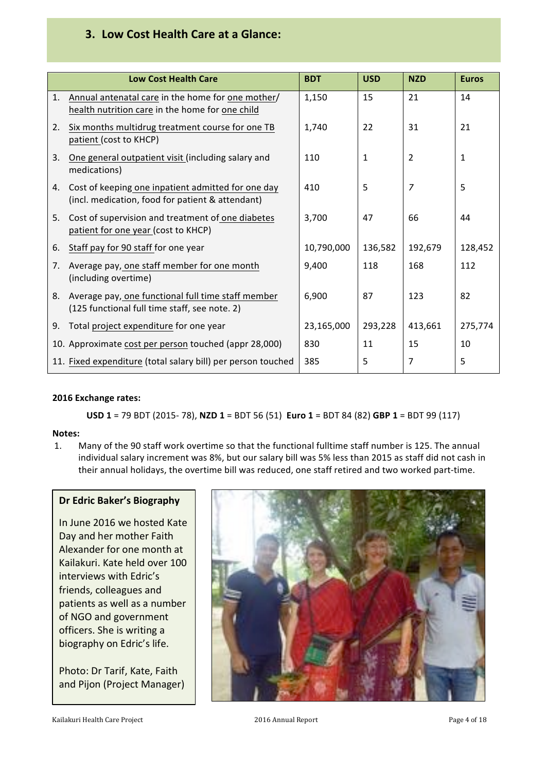# **3. Low Cost Health Care at a Glance:**

|    | <b>Low Cost Health Care</b>                                                                            | <b>BDT</b> | <b>USD</b> | <b>NZD</b>     | <b>Euros</b> |
|----|--------------------------------------------------------------------------------------------------------|------------|------------|----------------|--------------|
| 1. | Annual antenatal care in the home for one mother/<br>health nutrition care in the home for one child   | 1,150      | 15         | 21             | 14           |
| 2. | Six months multidrug treatment course for one TB<br>patient (cost to KHCP)                             | 1,740      | 22         | 31             | 21           |
| 3. | One general outpatient visit (including salary and<br>medications)                                     | 110        | 1          | $\overline{2}$ | 1            |
| 4. | Cost of keeping one inpatient admitted for one day<br>(incl. medication, food for patient & attendant) | 410        | 5          | 7              | 5            |
| 5. | Cost of supervision and treatment of one diabetes<br>patient for one year (cost to KHCP)               | 3,700      | 47         | 66             | 44           |
| 6. | Staff pay for 90 staff for one year                                                                    | 10,790,000 | 136,582    | 192,679        | 128,452      |
| 7. | Average pay, one staff member for one month<br>(including overtime)                                    | 9,400      | 118        | 168            | 112          |
| 8. | Average pay, one functional full time staff member<br>(125 functional full time staff, see note. 2)    | 6,900      | 87         | 123            | 82           |
| 9. | Total project expenditure for one year                                                                 | 23,165,000 | 293,228    | 413,661        | 275,774      |
|    | 10. Approximate cost per person touched (appr 28,000)                                                  | 830        | 11         | 15             | 10           |
|    | 11. Fixed expenditure (total salary bill) per person touched                                           | 385        | 5          | 7              | 5            |

#### **2016 Exchange rates:**

**USD** 1 = 79 BDT (2015- 78), **NZD** 1 = BDT 56 (51) **Euro** 1 = BDT 84 (82) **GBP** 1 = BDT 99 (117)

#### **Notes:**

1. Many of the 90 staff work overtime so that the functional fulltime staff number is 125. The annual individual salary increment was 8%, but our salary bill was 5% less than 2015 as staff did not cash in their annual holidays, the overtime bill was reduced, one staff retired and two worked part-time.

#### **Dr Edric Baker's Biography**

In June 2016 we hosted Kate Day and her mother Faith Alexander for one month at Kailakuri. Kate held over 100 interviews with Edric's friends, colleagues and patients as well as a number of NGO and government officers. She is writing a biography on Edric's life.

Photo: Dr Tarif, Kate, Faith and Pijon (Project Manager)

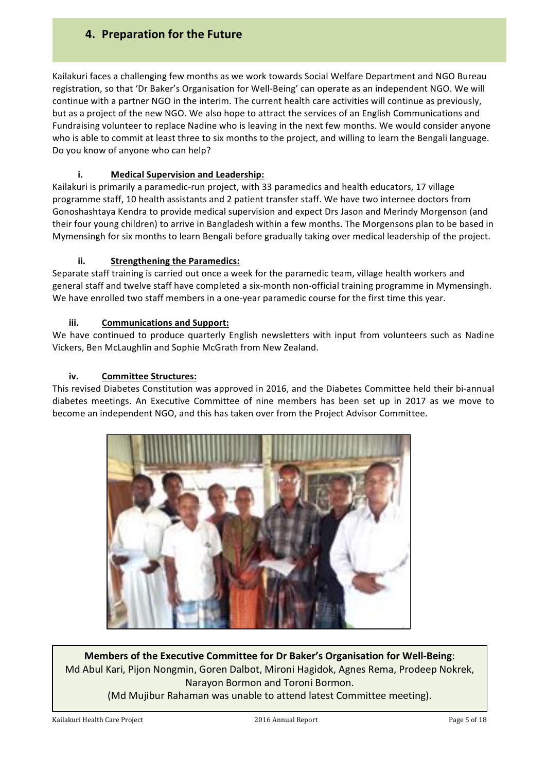# **4. Preparation for the Future**

Kailakuri faces a challenging few months as we work towards Social Welfare Department and NGO Bureau registration, so that 'Dr Baker's Organisation for Well-Being' can operate as an independent NGO. We will continue with a partner NGO in the interim. The current health care activities will continue as previously, but as a project of the new NGO. We also hope to attract the services of an English Communications and Fundraising volunteer to replace Nadine who is leaving in the next few months. We would consider anyone who is able to commit at least three to six months to the project, and willing to learn the Bengali language. Do you know of anyone who can help?

#### **i. Medical Supervision and Leadership:**

Kailakuri is primarily a paramedic-run project, with 33 paramedics and health educators, 17 village programme staff, 10 health assistants and 2 patient transfer staff. We have two internee doctors from Gonoshashtaya Kendra to provide medical supervision and expect Drs Jason and Merindy Morgenson (and their four young children) to arrive in Bangladesh within a few months. The Morgensons plan to be based in Mymensingh for six months to learn Bengali before gradually taking over medical leadership of the project.

#### **ii.** Strengthening the Paramedics:

Separate staff training is carried out once a week for the paramedic team, village health workers and general staff and twelve staff have completed a six-month non-official training programme in Mymensingh. We have enrolled two staff members in a one-year paramedic course for the first time this year.

#### **iii. Communications and Support:**

We have continued to produce quarterly English newsletters with input from volunteers such as Nadine Vickers, Ben McLaughlin and Sophie McGrath from New Zealand.

#### iv. **Committee Structures:**

This revised Diabetes Constitution was approved in 2016, and the Diabetes Committee held their bi-annual diabetes meetings. An Executive Committee of nine members has been set up in 2017 as we move to become an independent NGO, and this has taken over from the Project Advisor Committee.



**Members of the Executive Committee for Dr Baker's Organisation for Well-Being:** Md Abul Kari, Pijon Nongmin, Goren Dalbot, Mironi Hagidok, Agnes Rema, Prodeep Nokrek, Narayon Bormon and Toroni Bormon.

(Md Mujibur Rahaman was unable to attend latest Committee meeting).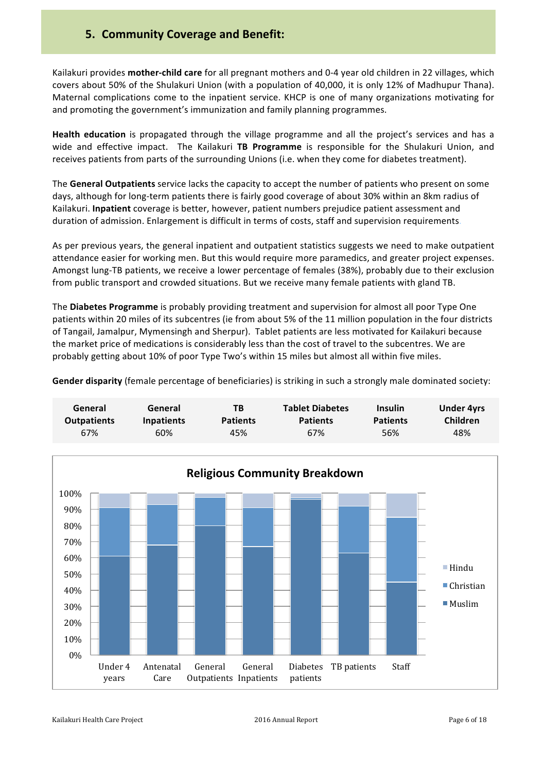Kailakuri provides **mother-child care** for all pregnant mothers and 0-4 year old children in 22 villages, which covers about 50% of the Shulakuri Union (with a population of 40,000, it is only 12% of Madhupur Thana). Maternal complications come to the inpatient service. KHCP is one of many organizations motivating for and promoting the government's immunization and family planning programmes.

**Health education** is propagated through the village programme and all the project's services and has a wide and effective impact. The Kailakuri TB Programme is responsible for the Shulakuri Union, and receives patients from parts of the surrounding Unions (i.e. when they come for diabetes treatment).

The General Outpatients service lacks the capacity to accept the number of patients who present on some days, although for long-term patients there is fairly good coverage of about 30% within an 8km radius of Kailakuri. Inpatient coverage is better, however, patient numbers prejudice patient assessment and duration of admission. Enlargement is difficult in terms of costs, staff and supervision requirements.

As per previous years, the general inpatient and outpatient statistics suggests we need to make outpatient attendance easier for working men. But this would require more paramedics, and greater project expenses. Amongst lung-TB patients, we receive a lower percentage of females (38%), probably due to their exclusion from public transport and crowded situations. But we receive many female patients with gland TB.

The **Diabetes Programme** is probably providing treatment and supervision for almost all poor Type One patients within 20 miles of its subcentres (ie from about 5% of the 11 million population in the four districts of Tangail, Jamalpur, Mymensingh and Sherpur). Tablet patients are less motivated for Kailakuri because the market price of medications is considerably less than the cost of travel to the subcentres. We are probably getting about 10% of poor Type Two's within 15 miles but almost all within five miles.

**Gender disparity** (female percentage of beneficiaries) is striking in such a strongly male dominated society:

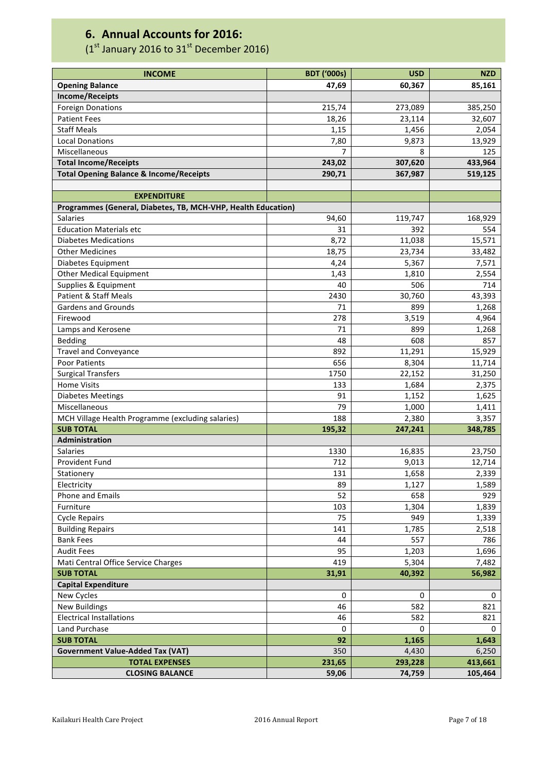# **6. Annual Accounts for 2016:**

# (1st January 2016 to  $31<sup>st</sup>$  December 2016)

| 60,367<br>85,161<br>47,69<br><b>Opening Balance</b><br><b>Income/Receipts</b><br><b>Foreign Donations</b><br>215,74<br>273,089<br>385,250<br><b>Patient Fees</b><br>18,26<br>23,114<br>32,607<br><b>Staff Meals</b><br>1,15<br>1,456<br>2,054<br><b>Local Donations</b><br>9,873<br>13,929<br>7,80<br>Miscellaneous<br>7<br>125<br>8<br><b>Total Income/Receipts</b><br>433,964<br>243,02<br>307,620<br><b>Total Opening Balance &amp; Income/Receipts</b><br>290,71<br>367,987<br>519,125<br><b>EXPENDITURE</b><br>Programmes (General, Diabetes, TB, MCH-VHP, Health Education)<br>94,60<br><b>Salaries</b><br>119,747<br>168,929<br><b>Education Materials etc</b><br>31<br>392<br>554<br>8,72<br>11,038<br>15,571<br><b>Diabetes Medications</b><br><b>Other Medicines</b><br>18,75<br>23,734<br>33,482<br>7,571<br>Diabetes Equipment<br>4,24<br>5,367<br><b>Other Medical Equipment</b><br>2,554<br>1,43<br>1,810<br>714<br>Supplies & Equipment<br>40<br>506<br><b>Patient &amp; Staff Meals</b><br>30,760<br>43,393<br>2430<br><b>Gardens and Grounds</b><br>1,268<br>71<br>899<br>3,519<br>4,964<br>Firewood<br>278<br>Lamps and Kerosene<br>1,268<br>71<br>899<br>Bedding<br>48<br>608<br>857<br><b>Travel and Conveyance</b><br>892<br>11,291<br>15,929<br>11,714<br>Poor Patients<br>656<br>8,304<br>1750<br>22,152<br>31,250<br><b>Surgical Transfers</b><br><b>Home Visits</b><br>2,375<br>133<br>1,684<br><b>Diabetes Meetings</b><br>1,152<br>1,625<br>91<br>Miscellaneous<br>79<br>1,000<br>1,411<br>MCH Village Health Programme (excluding salaries)<br>188<br>2,380<br>3,357<br><b>SUB TOTAL</b><br>195,32<br>247,241<br>348,785<br>Administration<br><b>Salaries</b><br>1330<br>16,835<br>23,750<br>Provident Fund<br>712<br>9,013<br>12,714<br>1,658<br>2,339<br>Stationery<br>131<br>Electricity<br>89<br>1,127<br>1,589<br>Phone and Emails<br>52<br>658<br>929<br>Furniture<br>103<br>1,304<br>1,839<br>75<br><b>Cycle Repairs</b><br>949<br>1,339<br><b>Building Repairs</b><br>141<br>1,785<br>2,518<br><b>Bank Fees</b><br>44<br>557<br>786<br><b>Audit Fees</b><br>95<br>1,696<br>1,203<br>Mati Central Office Service Charges<br>419<br>5,304<br>7,482<br><b>SUB TOTAL</b><br>31,91<br>40,392<br>56,982<br><b>Capital Expenditure</b><br>New Cycles<br>0<br>0<br>0<br><b>New Buildings</b><br>582<br>821<br>46<br><b>Electrical Installations</b><br>46<br>582<br>821<br>Land Purchase<br>0<br>0<br>0<br><b>SUB TOTAL</b><br>92<br>1,165<br>1,643<br><b>Government Value-Added Tax (VAT)</b><br>350<br>6,250<br>4,430<br><b>TOTAL EXPENSES</b><br>231,65<br>293,228<br>413,661<br><b>CLOSING BALANCE</b><br>59,06<br>74,759<br>105,464 | <b>INCOME</b> | <b>BDT ('000s)</b> | <b>USD</b> | <b>NZD</b> |
|----------------------------------------------------------------------------------------------------------------------------------------------------------------------------------------------------------------------------------------------------------------------------------------------------------------------------------------------------------------------------------------------------------------------------------------------------------------------------------------------------------------------------------------------------------------------------------------------------------------------------------------------------------------------------------------------------------------------------------------------------------------------------------------------------------------------------------------------------------------------------------------------------------------------------------------------------------------------------------------------------------------------------------------------------------------------------------------------------------------------------------------------------------------------------------------------------------------------------------------------------------------------------------------------------------------------------------------------------------------------------------------------------------------------------------------------------------------------------------------------------------------------------------------------------------------------------------------------------------------------------------------------------------------------------------------------------------------------------------------------------------------------------------------------------------------------------------------------------------------------------------------------------------------------------------------------------------------------------------------------------------------------------------------------------------------------------------------------------------------------------------------------------------------------------------------------------------------------------------------------------------------------------------------------------------------------------------------------------------------------------------------------------------------------------------------------------------------------------------------------------------------------------------------------------------------------------------------------------------------------------------------------------------------------|---------------|--------------------|------------|------------|
|                                                                                                                                                                                                                                                                                                                                                                                                                                                                                                                                                                                                                                                                                                                                                                                                                                                                                                                                                                                                                                                                                                                                                                                                                                                                                                                                                                                                                                                                                                                                                                                                                                                                                                                                                                                                                                                                                                                                                                                                                                                                                                                                                                                                                                                                                                                                                                                                                                                                                                                                                                                                                                                                      |               |                    |            |            |
|                                                                                                                                                                                                                                                                                                                                                                                                                                                                                                                                                                                                                                                                                                                                                                                                                                                                                                                                                                                                                                                                                                                                                                                                                                                                                                                                                                                                                                                                                                                                                                                                                                                                                                                                                                                                                                                                                                                                                                                                                                                                                                                                                                                                                                                                                                                                                                                                                                                                                                                                                                                                                                                                      |               |                    |            |            |
|                                                                                                                                                                                                                                                                                                                                                                                                                                                                                                                                                                                                                                                                                                                                                                                                                                                                                                                                                                                                                                                                                                                                                                                                                                                                                                                                                                                                                                                                                                                                                                                                                                                                                                                                                                                                                                                                                                                                                                                                                                                                                                                                                                                                                                                                                                                                                                                                                                                                                                                                                                                                                                                                      |               |                    |            |            |
|                                                                                                                                                                                                                                                                                                                                                                                                                                                                                                                                                                                                                                                                                                                                                                                                                                                                                                                                                                                                                                                                                                                                                                                                                                                                                                                                                                                                                                                                                                                                                                                                                                                                                                                                                                                                                                                                                                                                                                                                                                                                                                                                                                                                                                                                                                                                                                                                                                                                                                                                                                                                                                                                      |               |                    |            |            |
|                                                                                                                                                                                                                                                                                                                                                                                                                                                                                                                                                                                                                                                                                                                                                                                                                                                                                                                                                                                                                                                                                                                                                                                                                                                                                                                                                                                                                                                                                                                                                                                                                                                                                                                                                                                                                                                                                                                                                                                                                                                                                                                                                                                                                                                                                                                                                                                                                                                                                                                                                                                                                                                                      |               |                    |            |            |
|                                                                                                                                                                                                                                                                                                                                                                                                                                                                                                                                                                                                                                                                                                                                                                                                                                                                                                                                                                                                                                                                                                                                                                                                                                                                                                                                                                                                                                                                                                                                                                                                                                                                                                                                                                                                                                                                                                                                                                                                                                                                                                                                                                                                                                                                                                                                                                                                                                                                                                                                                                                                                                                                      |               |                    |            |            |
|                                                                                                                                                                                                                                                                                                                                                                                                                                                                                                                                                                                                                                                                                                                                                                                                                                                                                                                                                                                                                                                                                                                                                                                                                                                                                                                                                                                                                                                                                                                                                                                                                                                                                                                                                                                                                                                                                                                                                                                                                                                                                                                                                                                                                                                                                                                                                                                                                                                                                                                                                                                                                                                                      |               |                    |            |            |
|                                                                                                                                                                                                                                                                                                                                                                                                                                                                                                                                                                                                                                                                                                                                                                                                                                                                                                                                                                                                                                                                                                                                                                                                                                                                                                                                                                                                                                                                                                                                                                                                                                                                                                                                                                                                                                                                                                                                                                                                                                                                                                                                                                                                                                                                                                                                                                                                                                                                                                                                                                                                                                                                      |               |                    |            |            |
|                                                                                                                                                                                                                                                                                                                                                                                                                                                                                                                                                                                                                                                                                                                                                                                                                                                                                                                                                                                                                                                                                                                                                                                                                                                                                                                                                                                                                                                                                                                                                                                                                                                                                                                                                                                                                                                                                                                                                                                                                                                                                                                                                                                                                                                                                                                                                                                                                                                                                                                                                                                                                                                                      |               |                    |            |            |
|                                                                                                                                                                                                                                                                                                                                                                                                                                                                                                                                                                                                                                                                                                                                                                                                                                                                                                                                                                                                                                                                                                                                                                                                                                                                                                                                                                                                                                                                                                                                                                                                                                                                                                                                                                                                                                                                                                                                                                                                                                                                                                                                                                                                                                                                                                                                                                                                                                                                                                                                                                                                                                                                      |               |                    |            |            |
|                                                                                                                                                                                                                                                                                                                                                                                                                                                                                                                                                                                                                                                                                                                                                                                                                                                                                                                                                                                                                                                                                                                                                                                                                                                                                                                                                                                                                                                                                                                                                                                                                                                                                                                                                                                                                                                                                                                                                                                                                                                                                                                                                                                                                                                                                                                                                                                                                                                                                                                                                                                                                                                                      |               |                    |            |            |
|                                                                                                                                                                                                                                                                                                                                                                                                                                                                                                                                                                                                                                                                                                                                                                                                                                                                                                                                                                                                                                                                                                                                                                                                                                                                                                                                                                                                                                                                                                                                                                                                                                                                                                                                                                                                                                                                                                                                                                                                                                                                                                                                                                                                                                                                                                                                                                                                                                                                                                                                                                                                                                                                      |               |                    |            |            |
|                                                                                                                                                                                                                                                                                                                                                                                                                                                                                                                                                                                                                                                                                                                                                                                                                                                                                                                                                                                                                                                                                                                                                                                                                                                                                                                                                                                                                                                                                                                                                                                                                                                                                                                                                                                                                                                                                                                                                                                                                                                                                                                                                                                                                                                                                                                                                                                                                                                                                                                                                                                                                                                                      |               |                    |            |            |
|                                                                                                                                                                                                                                                                                                                                                                                                                                                                                                                                                                                                                                                                                                                                                                                                                                                                                                                                                                                                                                                                                                                                                                                                                                                                                                                                                                                                                                                                                                                                                                                                                                                                                                                                                                                                                                                                                                                                                                                                                                                                                                                                                                                                                                                                                                                                                                                                                                                                                                                                                                                                                                                                      |               |                    |            |            |
|                                                                                                                                                                                                                                                                                                                                                                                                                                                                                                                                                                                                                                                                                                                                                                                                                                                                                                                                                                                                                                                                                                                                                                                                                                                                                                                                                                                                                                                                                                                                                                                                                                                                                                                                                                                                                                                                                                                                                                                                                                                                                                                                                                                                                                                                                                                                                                                                                                                                                                                                                                                                                                                                      |               |                    |            |            |
|                                                                                                                                                                                                                                                                                                                                                                                                                                                                                                                                                                                                                                                                                                                                                                                                                                                                                                                                                                                                                                                                                                                                                                                                                                                                                                                                                                                                                                                                                                                                                                                                                                                                                                                                                                                                                                                                                                                                                                                                                                                                                                                                                                                                                                                                                                                                                                                                                                                                                                                                                                                                                                                                      |               |                    |            |            |
|                                                                                                                                                                                                                                                                                                                                                                                                                                                                                                                                                                                                                                                                                                                                                                                                                                                                                                                                                                                                                                                                                                                                                                                                                                                                                                                                                                                                                                                                                                                                                                                                                                                                                                                                                                                                                                                                                                                                                                                                                                                                                                                                                                                                                                                                                                                                                                                                                                                                                                                                                                                                                                                                      |               |                    |            |            |
|                                                                                                                                                                                                                                                                                                                                                                                                                                                                                                                                                                                                                                                                                                                                                                                                                                                                                                                                                                                                                                                                                                                                                                                                                                                                                                                                                                                                                                                                                                                                                                                                                                                                                                                                                                                                                                                                                                                                                                                                                                                                                                                                                                                                                                                                                                                                                                                                                                                                                                                                                                                                                                                                      |               |                    |            |            |
|                                                                                                                                                                                                                                                                                                                                                                                                                                                                                                                                                                                                                                                                                                                                                                                                                                                                                                                                                                                                                                                                                                                                                                                                                                                                                                                                                                                                                                                                                                                                                                                                                                                                                                                                                                                                                                                                                                                                                                                                                                                                                                                                                                                                                                                                                                                                                                                                                                                                                                                                                                                                                                                                      |               |                    |            |            |
|                                                                                                                                                                                                                                                                                                                                                                                                                                                                                                                                                                                                                                                                                                                                                                                                                                                                                                                                                                                                                                                                                                                                                                                                                                                                                                                                                                                                                                                                                                                                                                                                                                                                                                                                                                                                                                                                                                                                                                                                                                                                                                                                                                                                                                                                                                                                                                                                                                                                                                                                                                                                                                                                      |               |                    |            |            |
|                                                                                                                                                                                                                                                                                                                                                                                                                                                                                                                                                                                                                                                                                                                                                                                                                                                                                                                                                                                                                                                                                                                                                                                                                                                                                                                                                                                                                                                                                                                                                                                                                                                                                                                                                                                                                                                                                                                                                                                                                                                                                                                                                                                                                                                                                                                                                                                                                                                                                                                                                                                                                                                                      |               |                    |            |            |
|                                                                                                                                                                                                                                                                                                                                                                                                                                                                                                                                                                                                                                                                                                                                                                                                                                                                                                                                                                                                                                                                                                                                                                                                                                                                                                                                                                                                                                                                                                                                                                                                                                                                                                                                                                                                                                                                                                                                                                                                                                                                                                                                                                                                                                                                                                                                                                                                                                                                                                                                                                                                                                                                      |               |                    |            |            |
|                                                                                                                                                                                                                                                                                                                                                                                                                                                                                                                                                                                                                                                                                                                                                                                                                                                                                                                                                                                                                                                                                                                                                                                                                                                                                                                                                                                                                                                                                                                                                                                                                                                                                                                                                                                                                                                                                                                                                                                                                                                                                                                                                                                                                                                                                                                                                                                                                                                                                                                                                                                                                                                                      |               |                    |            |            |
|                                                                                                                                                                                                                                                                                                                                                                                                                                                                                                                                                                                                                                                                                                                                                                                                                                                                                                                                                                                                                                                                                                                                                                                                                                                                                                                                                                                                                                                                                                                                                                                                                                                                                                                                                                                                                                                                                                                                                                                                                                                                                                                                                                                                                                                                                                                                                                                                                                                                                                                                                                                                                                                                      |               |                    |            |            |
|                                                                                                                                                                                                                                                                                                                                                                                                                                                                                                                                                                                                                                                                                                                                                                                                                                                                                                                                                                                                                                                                                                                                                                                                                                                                                                                                                                                                                                                                                                                                                                                                                                                                                                                                                                                                                                                                                                                                                                                                                                                                                                                                                                                                                                                                                                                                                                                                                                                                                                                                                                                                                                                                      |               |                    |            |            |
|                                                                                                                                                                                                                                                                                                                                                                                                                                                                                                                                                                                                                                                                                                                                                                                                                                                                                                                                                                                                                                                                                                                                                                                                                                                                                                                                                                                                                                                                                                                                                                                                                                                                                                                                                                                                                                                                                                                                                                                                                                                                                                                                                                                                                                                                                                                                                                                                                                                                                                                                                                                                                                                                      |               |                    |            |            |
|                                                                                                                                                                                                                                                                                                                                                                                                                                                                                                                                                                                                                                                                                                                                                                                                                                                                                                                                                                                                                                                                                                                                                                                                                                                                                                                                                                                                                                                                                                                                                                                                                                                                                                                                                                                                                                                                                                                                                                                                                                                                                                                                                                                                                                                                                                                                                                                                                                                                                                                                                                                                                                                                      |               |                    |            |            |
|                                                                                                                                                                                                                                                                                                                                                                                                                                                                                                                                                                                                                                                                                                                                                                                                                                                                                                                                                                                                                                                                                                                                                                                                                                                                                                                                                                                                                                                                                                                                                                                                                                                                                                                                                                                                                                                                                                                                                                                                                                                                                                                                                                                                                                                                                                                                                                                                                                                                                                                                                                                                                                                                      |               |                    |            |            |
|                                                                                                                                                                                                                                                                                                                                                                                                                                                                                                                                                                                                                                                                                                                                                                                                                                                                                                                                                                                                                                                                                                                                                                                                                                                                                                                                                                                                                                                                                                                                                                                                                                                                                                                                                                                                                                                                                                                                                                                                                                                                                                                                                                                                                                                                                                                                                                                                                                                                                                                                                                                                                                                                      |               |                    |            |            |
|                                                                                                                                                                                                                                                                                                                                                                                                                                                                                                                                                                                                                                                                                                                                                                                                                                                                                                                                                                                                                                                                                                                                                                                                                                                                                                                                                                                                                                                                                                                                                                                                                                                                                                                                                                                                                                                                                                                                                                                                                                                                                                                                                                                                                                                                                                                                                                                                                                                                                                                                                                                                                                                                      |               |                    |            |            |
|                                                                                                                                                                                                                                                                                                                                                                                                                                                                                                                                                                                                                                                                                                                                                                                                                                                                                                                                                                                                                                                                                                                                                                                                                                                                                                                                                                                                                                                                                                                                                                                                                                                                                                                                                                                                                                                                                                                                                                                                                                                                                                                                                                                                                                                                                                                                                                                                                                                                                                                                                                                                                                                                      |               |                    |            |            |
|                                                                                                                                                                                                                                                                                                                                                                                                                                                                                                                                                                                                                                                                                                                                                                                                                                                                                                                                                                                                                                                                                                                                                                                                                                                                                                                                                                                                                                                                                                                                                                                                                                                                                                                                                                                                                                                                                                                                                                                                                                                                                                                                                                                                                                                                                                                                                                                                                                                                                                                                                                                                                                                                      |               |                    |            |            |
|                                                                                                                                                                                                                                                                                                                                                                                                                                                                                                                                                                                                                                                                                                                                                                                                                                                                                                                                                                                                                                                                                                                                                                                                                                                                                                                                                                                                                                                                                                                                                                                                                                                                                                                                                                                                                                                                                                                                                                                                                                                                                                                                                                                                                                                                                                                                                                                                                                                                                                                                                                                                                                                                      |               |                    |            |            |
|                                                                                                                                                                                                                                                                                                                                                                                                                                                                                                                                                                                                                                                                                                                                                                                                                                                                                                                                                                                                                                                                                                                                                                                                                                                                                                                                                                                                                                                                                                                                                                                                                                                                                                                                                                                                                                                                                                                                                                                                                                                                                                                                                                                                                                                                                                                                                                                                                                                                                                                                                                                                                                                                      |               |                    |            |            |
|                                                                                                                                                                                                                                                                                                                                                                                                                                                                                                                                                                                                                                                                                                                                                                                                                                                                                                                                                                                                                                                                                                                                                                                                                                                                                                                                                                                                                                                                                                                                                                                                                                                                                                                                                                                                                                                                                                                                                                                                                                                                                                                                                                                                                                                                                                                                                                                                                                                                                                                                                                                                                                                                      |               |                    |            |            |
|                                                                                                                                                                                                                                                                                                                                                                                                                                                                                                                                                                                                                                                                                                                                                                                                                                                                                                                                                                                                                                                                                                                                                                                                                                                                                                                                                                                                                                                                                                                                                                                                                                                                                                                                                                                                                                                                                                                                                                                                                                                                                                                                                                                                                                                                                                                                                                                                                                                                                                                                                                                                                                                                      |               |                    |            |            |
|                                                                                                                                                                                                                                                                                                                                                                                                                                                                                                                                                                                                                                                                                                                                                                                                                                                                                                                                                                                                                                                                                                                                                                                                                                                                                                                                                                                                                                                                                                                                                                                                                                                                                                                                                                                                                                                                                                                                                                                                                                                                                                                                                                                                                                                                                                                                                                                                                                                                                                                                                                                                                                                                      |               |                    |            |            |
|                                                                                                                                                                                                                                                                                                                                                                                                                                                                                                                                                                                                                                                                                                                                                                                                                                                                                                                                                                                                                                                                                                                                                                                                                                                                                                                                                                                                                                                                                                                                                                                                                                                                                                                                                                                                                                                                                                                                                                                                                                                                                                                                                                                                                                                                                                                                                                                                                                                                                                                                                                                                                                                                      |               |                    |            |            |
|                                                                                                                                                                                                                                                                                                                                                                                                                                                                                                                                                                                                                                                                                                                                                                                                                                                                                                                                                                                                                                                                                                                                                                                                                                                                                                                                                                                                                                                                                                                                                                                                                                                                                                                                                                                                                                                                                                                                                                                                                                                                                                                                                                                                                                                                                                                                                                                                                                                                                                                                                                                                                                                                      |               |                    |            |            |
|                                                                                                                                                                                                                                                                                                                                                                                                                                                                                                                                                                                                                                                                                                                                                                                                                                                                                                                                                                                                                                                                                                                                                                                                                                                                                                                                                                                                                                                                                                                                                                                                                                                                                                                                                                                                                                                                                                                                                                                                                                                                                                                                                                                                                                                                                                                                                                                                                                                                                                                                                                                                                                                                      |               |                    |            |            |
|                                                                                                                                                                                                                                                                                                                                                                                                                                                                                                                                                                                                                                                                                                                                                                                                                                                                                                                                                                                                                                                                                                                                                                                                                                                                                                                                                                                                                                                                                                                                                                                                                                                                                                                                                                                                                                                                                                                                                                                                                                                                                                                                                                                                                                                                                                                                                                                                                                                                                                                                                                                                                                                                      |               |                    |            |            |
|                                                                                                                                                                                                                                                                                                                                                                                                                                                                                                                                                                                                                                                                                                                                                                                                                                                                                                                                                                                                                                                                                                                                                                                                                                                                                                                                                                                                                                                                                                                                                                                                                                                                                                                                                                                                                                                                                                                                                                                                                                                                                                                                                                                                                                                                                                                                                                                                                                                                                                                                                                                                                                                                      |               |                    |            |            |
|                                                                                                                                                                                                                                                                                                                                                                                                                                                                                                                                                                                                                                                                                                                                                                                                                                                                                                                                                                                                                                                                                                                                                                                                                                                                                                                                                                                                                                                                                                                                                                                                                                                                                                                                                                                                                                                                                                                                                                                                                                                                                                                                                                                                                                                                                                                                                                                                                                                                                                                                                                                                                                                                      |               |                    |            |            |
|                                                                                                                                                                                                                                                                                                                                                                                                                                                                                                                                                                                                                                                                                                                                                                                                                                                                                                                                                                                                                                                                                                                                                                                                                                                                                                                                                                                                                                                                                                                                                                                                                                                                                                                                                                                                                                                                                                                                                                                                                                                                                                                                                                                                                                                                                                                                                                                                                                                                                                                                                                                                                                                                      |               |                    |            |            |
|                                                                                                                                                                                                                                                                                                                                                                                                                                                                                                                                                                                                                                                                                                                                                                                                                                                                                                                                                                                                                                                                                                                                                                                                                                                                                                                                                                                                                                                                                                                                                                                                                                                                                                                                                                                                                                                                                                                                                                                                                                                                                                                                                                                                                                                                                                                                                                                                                                                                                                                                                                                                                                                                      |               |                    |            |            |
|                                                                                                                                                                                                                                                                                                                                                                                                                                                                                                                                                                                                                                                                                                                                                                                                                                                                                                                                                                                                                                                                                                                                                                                                                                                                                                                                                                                                                                                                                                                                                                                                                                                                                                                                                                                                                                                                                                                                                                                                                                                                                                                                                                                                                                                                                                                                                                                                                                                                                                                                                                                                                                                                      |               |                    |            |            |
|                                                                                                                                                                                                                                                                                                                                                                                                                                                                                                                                                                                                                                                                                                                                                                                                                                                                                                                                                                                                                                                                                                                                                                                                                                                                                                                                                                                                                                                                                                                                                                                                                                                                                                                                                                                                                                                                                                                                                                                                                                                                                                                                                                                                                                                                                                                                                                                                                                                                                                                                                                                                                                                                      |               |                    |            |            |
|                                                                                                                                                                                                                                                                                                                                                                                                                                                                                                                                                                                                                                                                                                                                                                                                                                                                                                                                                                                                                                                                                                                                                                                                                                                                                                                                                                                                                                                                                                                                                                                                                                                                                                                                                                                                                                                                                                                                                                                                                                                                                                                                                                                                                                                                                                                                                                                                                                                                                                                                                                                                                                                                      |               |                    |            |            |
|                                                                                                                                                                                                                                                                                                                                                                                                                                                                                                                                                                                                                                                                                                                                                                                                                                                                                                                                                                                                                                                                                                                                                                                                                                                                                                                                                                                                                                                                                                                                                                                                                                                                                                                                                                                                                                                                                                                                                                                                                                                                                                                                                                                                                                                                                                                                                                                                                                                                                                                                                                                                                                                                      |               |                    |            |            |
|                                                                                                                                                                                                                                                                                                                                                                                                                                                                                                                                                                                                                                                                                                                                                                                                                                                                                                                                                                                                                                                                                                                                                                                                                                                                                                                                                                                                                                                                                                                                                                                                                                                                                                                                                                                                                                                                                                                                                                                                                                                                                                                                                                                                                                                                                                                                                                                                                                                                                                                                                                                                                                                                      |               |                    |            |            |
|                                                                                                                                                                                                                                                                                                                                                                                                                                                                                                                                                                                                                                                                                                                                                                                                                                                                                                                                                                                                                                                                                                                                                                                                                                                                                                                                                                                                                                                                                                                                                                                                                                                                                                                                                                                                                                                                                                                                                                                                                                                                                                                                                                                                                                                                                                                                                                                                                                                                                                                                                                                                                                                                      |               |                    |            |            |
|                                                                                                                                                                                                                                                                                                                                                                                                                                                                                                                                                                                                                                                                                                                                                                                                                                                                                                                                                                                                                                                                                                                                                                                                                                                                                                                                                                                                                                                                                                                                                                                                                                                                                                                                                                                                                                                                                                                                                                                                                                                                                                                                                                                                                                                                                                                                                                                                                                                                                                                                                                                                                                                                      |               |                    |            |            |
|                                                                                                                                                                                                                                                                                                                                                                                                                                                                                                                                                                                                                                                                                                                                                                                                                                                                                                                                                                                                                                                                                                                                                                                                                                                                                                                                                                                                                                                                                                                                                                                                                                                                                                                                                                                                                                                                                                                                                                                                                                                                                                                                                                                                                                                                                                                                                                                                                                                                                                                                                                                                                                                                      |               |                    |            |            |
|                                                                                                                                                                                                                                                                                                                                                                                                                                                                                                                                                                                                                                                                                                                                                                                                                                                                                                                                                                                                                                                                                                                                                                                                                                                                                                                                                                                                                                                                                                                                                                                                                                                                                                                                                                                                                                                                                                                                                                                                                                                                                                                                                                                                                                                                                                                                                                                                                                                                                                                                                                                                                                                                      |               |                    |            |            |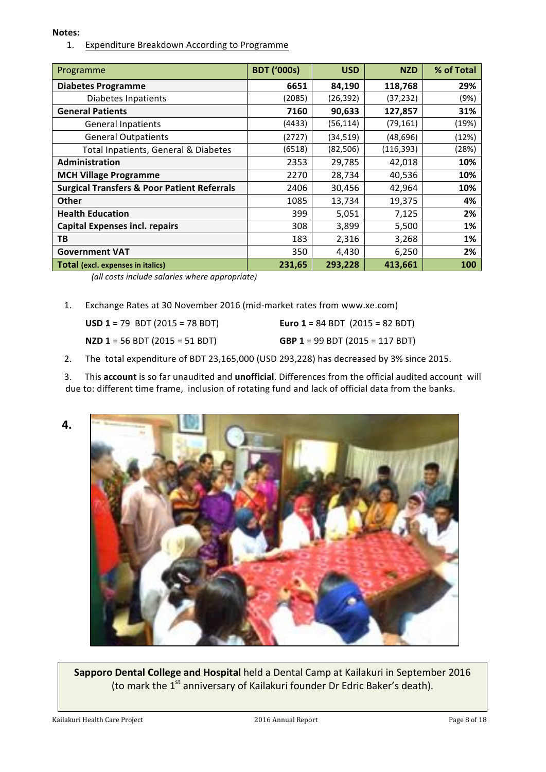#### **Notes:**

1. Expenditure Breakdown According to Programme

| Programme                                              | <b>BDT ('000s)</b> | <b>USD</b> | <b>NZD</b> | % of Total |
|--------------------------------------------------------|--------------------|------------|------------|------------|
| <b>Diabetes Programme</b>                              | 6651               | 84,190     | 118,768    | 29%        |
| Diabetes Inpatients                                    | (2085)             | (26, 392)  | (37, 232)  | (9%)       |
| <b>General Patients</b>                                | 7160               | 90,633     | 127,857    | 31%        |
| <b>General Inpatients</b>                              | (4433)             | (56,114)   | (79, 161)  | (19%)      |
| <b>General Outpatients</b>                             | (2727)             | (34, 519)  | (48,696)   | (12%)      |
| Total Inpatients, General & Diabetes                   | (6518)             | (82, 506)  | (116, 393) | (28%)      |
| Administration                                         | 2353               | 29,785     | 42,018     | 10%        |
| <b>MCH Village Programme</b>                           | 2270               | 28,734     | 40,536     | 10%        |
| <b>Surgical Transfers &amp; Poor Patient Referrals</b> | 2406               | 30,456     | 42,964     | 10%        |
| <b>Other</b>                                           | 1085               | 13,734     | 19,375     | 4%         |
| <b>Health Education</b>                                | 399                | 5,051      | 7,125      | 2%         |
| <b>Capital Expenses incl. repairs</b>                  | 308                | 3,899      | 5,500      | 1%         |
| TB                                                     | 183                | 2,316      | 3,268      | 1%         |
| <b>Government VAT</b>                                  | 350                | 4,430      | 6,250      | 2%         |
| <b>Total (excl. expenses in italics)</b>               | 231,65             | 293,228    | 413,661    | 100        |

*(all costs include salaries where appropriate)*

1. Exchange Rates at 30 November 2016 (mid-market rates from www.xe.com)

| <b>USD 1</b> = 79 BDT (2015 = 78 BDT) | <b>Euro 1</b> = 84 BDT $(2015 = 82$ BDT) |
|---------------------------------------|------------------------------------------|
| <b>NZD 1</b> = 56 BDT (2015 = 51 BDT) | <b>GBP 1</b> = 99 BDT (2015 = 117 BDT)   |

2. The total expenditure of BDT 23,165,000 (USD 293,228) has decreased by 3% since 2015.

3. This **account** is so far unaudited and **unofficial**. Differences from the official audited account will due to: different time frame, inclusion of rotating fund and lack of official data from the banks.



**Sapporo Dental College and Hospital** held a Dental Camp at Kailakuri in September 2016 (to mark the 1<sup>st</sup> anniversary of Kailakuri founder Dr Edric Baker's death).

Kailakuri Health Care Project **2016** Annual Report Page 8 of 18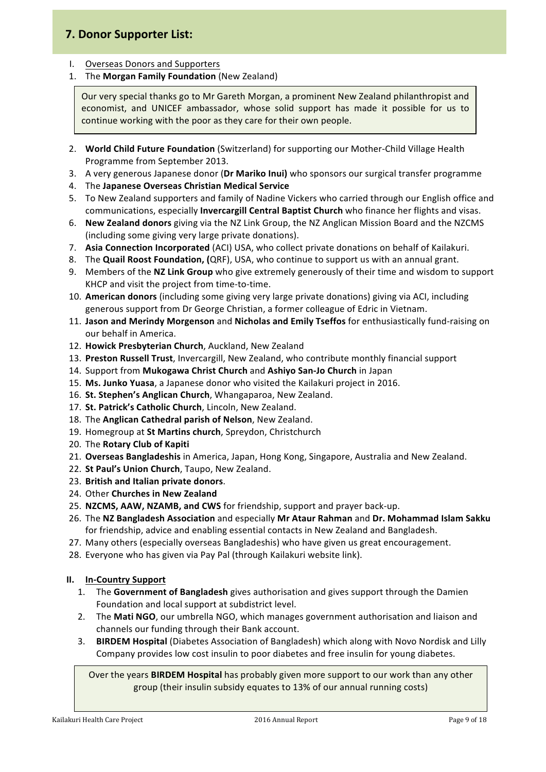# **7. Donor Supporter List:**

- I. Overseas Donors and Supporters
- 1. The **Morgan Family Foundation** (New Zealand)

Our very special thanks go to Mr Gareth Morgan, a prominent New Zealand philanthropist and economist, and UNICEF ambassador, whose solid support has made it possible for us to continue working with the poor as they care for their own people.

- 2. **World Child Future Foundation** (Switzerland) for supporting our Mother-Child Village Health Programme from September 2013.
- 3. A very generous Japanese donor (Dr Mariko Inui) who sponsors our surgical transfer programme
- 4. The Japanese Overseas Christian Medical Service
- 5. To New Zealand supporters and family of Nadine Vickers who carried through our English office and communications, especially **Invercargill Central Baptist Church** who finance her flights and visas.
- 6. **New Zealand donors** giving via the NZ Link Group, the NZ Anglican Mission Board and the NZCMS (including some giving very large private donations).
- 7. Asia Connection Incorporated (ACI) USA, who collect private donations on behalf of Kailakuri.
- 8. The **Quail Roost Foundation, (**QRF), USA, who continue to support us with an annual grant.
- 9. Members of the **NZ Link Group** who give extremely generously of their time and wisdom to support KHCP and visit the project from time-to-time.
- 10. American donors (including some giving very large private donations) giving via ACI, including generous support from Dr George Christian, a former colleague of Edric in Vietnam.
- 11. Jason and Merindy Morgenson and Nicholas and Emily Tseffos for enthusiastically fund-raising on our behalf in America.
- 12. Howick Presbyterian Church, Auckland, New Zealand
- 13. Preston Russell Trust, Invercargill, New Zealand, who contribute monthly financial support
- 14. Support from Mukogawa Christ Church and Ashiyo San-Jo Church in Japan
- 15. Ms. Junko Yuasa, a Japanese donor who visited the Kailakuri project in 2016.
- 16. St. Stephen's Anglican Church, Whangaparoa, New Zealand.
- 17. **St. Patrick's Catholic Church**, Lincoln, New Zealand.
- 18. The **Anglican Cathedral parish of Nelson**, New Zealand.
- 19. Homegroup at St Martins church, Spreydon, Christchurch
- 20. The **Rotary Club of Kapiti**
- 21. **Overseas Bangladeshis** in America, Japan, Hong Kong, Singapore, Australia and New Zealand.
- 22. St Paul's Union Church, Taupo, New Zealand.
- 23. **British and Italian private donors**.
- 24. Other **Churches in New Zealand**
- 25. NZCMS, AAW, NZAMB, and CWS for friendship, support and prayer back-up.
- 26. The NZ Bangladesh Association and especially Mr Ataur Rahman and Dr. Mohammad Islam Sakku for friendship, advice and enabling essential contacts in New Zealand and Bangladesh.
- 27. Many others (especially overseas Bangladeshis) who have given us great encouragement.
- 28. Everyone who has given via Pay Pal (through Kailakuri website link).

#### **II. In-Country Support**

- 1. The Government of Bangladesh gives authorisation and gives support through the Damien Foundation and local support at subdistrict level.
- 2. The Mati NGO, our umbrella NGO, which manages government authorisation and liaison and channels our funding through their Bank account.
- 3. **BIRDEM Hospital** (Diabetes Association of Bangladesh) which along with Novo Nordisk and Lilly Company provides low cost insulin to poor diabetes and free insulin for young diabetes.

Over the years **BIRDEM Hospital** has probably given more support to our work than any other group (their insulin subsidy equates to 13% of our annual running costs)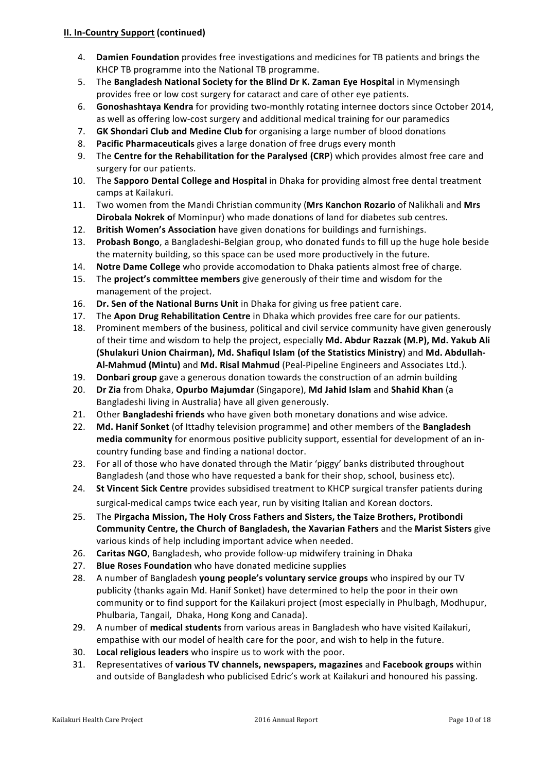#### **II. In-Country Support (continued)**

- 4. **Damien Foundation** provides free investigations and medicines for TB patients and brings the KHCP TB programme into the National TB programme.
- 5. The Bangladesh National Society for the Blind Dr K. Zaman Eye Hospital in Mymensingh provides free or low cost surgery for cataract and care of other eye patients.
- 6. **Gonoshashtaya Kendra** for providing two-monthly rotating internee doctors since October 2014, as well as offering low-cost surgery and additional medical training for our paramedics
- 7. **GK Shondari Club and Medine Club f**or organising a large number of blood donations
- 8. **Pacific Pharmaceuticals** gives a large donation of free drugs every month
- 9. The **Centre for the Rehabilitation for the Paralysed (CRP**) which provides almost free care and surgery for our patients.
- 10. The **Sapporo Dental College and Hospital** in Dhaka for providing almost free dental treatment camps at Kailakuri.
- 11. Two women from the Mandi Christian community (Mrs Kanchon Rozario of Nalikhali and Mrs **Dirobala Nokrek of Mominpur)** who made donations of land for diabetes sub centres.
- 12. **British Women's Association** have given donations for buildings and furnishings.
- 13. **Probash Bongo**, a Bangladeshi-Belgian group, who donated funds to fill up the huge hole beside the maternity building, so this space can be used more productively in the future.
- 14. **Notre Dame College** who provide accomodation to Dhaka patients almost free of charge.
- 15. The **project's committee members** give generously of their time and wisdom for the management of the project.
- 16. **Dr. Sen of the National Burns Unit** in Dhaka for giving us free patient care.
- 17. The Apon Drug Rehabilitation Centre in Dhaka which provides free care for our patients.
- 18. Prominent members of the business, political and civil service community have given generously of their time and wisdom to help the project, especially Md. Abdur Razzak (M.P), Md. Yakub Ali (Shulakuri Union Chairman), Md. Shafiqul Islam (of the Statistics Ministry) and Md. Abdullah-Al-Mahmud (Mintu) and Md. Risal Mahmud (Peal-Pipeline Engineers and Associates Ltd.).
- 19. **Donbari group** gave a generous donation towards the construction of an admin building
- 20. **Dr Zia** from Dhaka, Opurbo Majumdar (Singapore), Md Jahid Islam and Shahid Khan (a Bangladeshi living in Australia) have all given generously.
- 21. Other **Bangladeshi friends** who have given both monetary donations and wise advice.
- 22. Md. Hanif Sonket (of Ittadhy television programme) and other members of the Bangladesh **media community** for enormous positive publicity support, essential for development of an incountry funding base and finding a national doctor.
- 23. For all of those who have donated through the Matir 'piggy' banks distributed throughout Bangladesh (and those who have requested a bank for their shop, school, business etc).
- 24. **St Vincent Sick Centre** provides subsidised treatment to KHCP surgical transfer patients during surgical-medical camps twice each year, run by visiting Italian and Korean doctors.
- 25. The Pirgacha Mission, The Holy Cross Fathers and Sisters, the Taize Brothers, Protibondi **Community Centre, the Church of Bangladesh, the Xavarian Fathers and the Marist Sisters give** various kinds of help including important advice when needed.
- 26. **Caritas NGO**, Bangladesh, who provide follow-up midwifery training in Dhaka
- 27. **Blue Roses Foundation** who have donated medicine supplies
- 28. A number of Bangladesh **young people's voluntary service groups** who inspired by our TV publicity (thanks again Md. Hanif Sonket) have determined to help the poor in their own community or to find support for the Kailakuri project (most especially in Phulbagh, Modhupur, Phulbaria, Tangail, Dhaka, Hong Kong and Canada).
- 29. A number of medical students from various areas in Bangladesh who have visited Kailakuri, empathise with our model of health care for the poor, and wish to help in the future.
- 30. Local religious leaders who inspire us to work with the poor.
- 31. Representatives of **various TV channels, newspapers, magazines** and **Facebook groups** within and outside of Bangladesh who publicised Edric's work at Kailakuri and honoured his passing.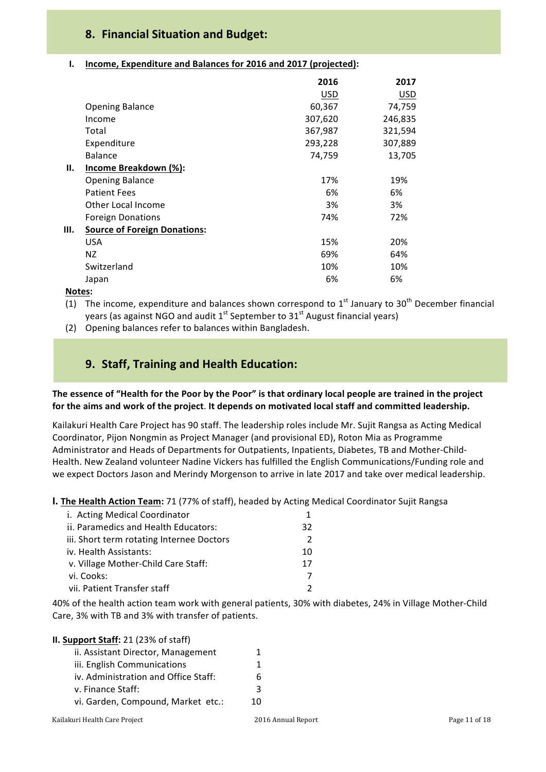# **8. Financial Situation and Budget:**

#### **I.** Income, Expenditure and Balances for 2016 and 2017 (projected):

|                                           | 2016    | 2017    |
|-------------------------------------------|---------|---------|
|                                           | USD     | USD     |
| <b>Opening Balance</b>                    | 60,367  | 74,759  |
| Income                                    | 307,620 | 246,835 |
| Total                                     | 367,987 | 321,594 |
| Expenditure                               | 293,228 | 307,889 |
| Balance                                   | 74,759  | 13,705  |
| Income Breakdown (%):<br>Н.               |         |         |
| <b>Opening Balance</b>                    | 17%     | 19%     |
| <b>Patient Fees</b>                       | 6%      | 6%      |
| Other Local Income                        | 3%      | 3%      |
| <b>Foreign Donations</b>                  | 74%     | 72%     |
| Ш.<br><b>Source of Foreign Donations:</b> |         |         |
| <b>USA</b>                                | 15%     | 20%     |
| NZ.                                       | 69%     | 64%     |
| Switzerland                               | 10%     | 10%     |
| Japan                                     | 6%      | 6%      |

**Notes:**

(1) The income, expenditure and balances shown correspond to  $1<sup>st</sup>$  January to  $30<sup>th</sup>$  December financial years (as against NGO and audit  $1^{st}$  September to  $31^{st}$  August financial years)

(2) Opening balances refer to balances within Bangladesh.

# **9. Staff, Training and Health Education:**

#### The essence of "Health for the Poor by the Poor" is that ordinary local people are trained in the project for the aims and work of the project. It depends on motivated local staff and committed leadership.

Kailakuri Health Care Project has 90 staff. The leadership roles include Mr. Sujit Rangsa as Acting Medical Coordinator, Pijon Nongmin as Project Manager (and provisional ED), Roton Mia as Programme Administrator and Heads of Departments for Outpatients, Inpatients, Diabetes, TB and Mother-Child-Health. New Zealand volunteer Nadine Vickers has fulfilled the English Communications/Funding role and we expect Doctors Jason and Merindy Morgenson to arrive in late 2017 and take over medical leadership.

**I. The Health Action Team:** 71 (77% of staff), headed by Acting Medical Coordinator Sujit Rangsa

| i. Acting Medical Coordinator             |    |  |
|-------------------------------------------|----|--|
| ii. Paramedics and Health Educators:      | 32 |  |
| iii. Short term rotating Internee Doctors |    |  |
| iv. Health Assistants:                    | 10 |  |
| v. Village Mother-Child Care Staff:       | 17 |  |
| vi. Cooks:                                |    |  |
| vii. Patient Transfer staff               |    |  |

40% of the health action team work with general patients, 30% with diabetes, 24% in Village Mother-Child Care, 3% with TB and 3% with transfer of patients.

| II. Support Staff: 21 (23% of staff) |    |
|--------------------------------------|----|
| ii. Assistant Director, Management   | 1  |
| iii. English Communications          |    |
| iv. Administration and Office Staff: | h  |
| v. Finance Staff:                    | 3  |
| vi. Garden, Compound, Market etc.:   | 10 |
|                                      |    |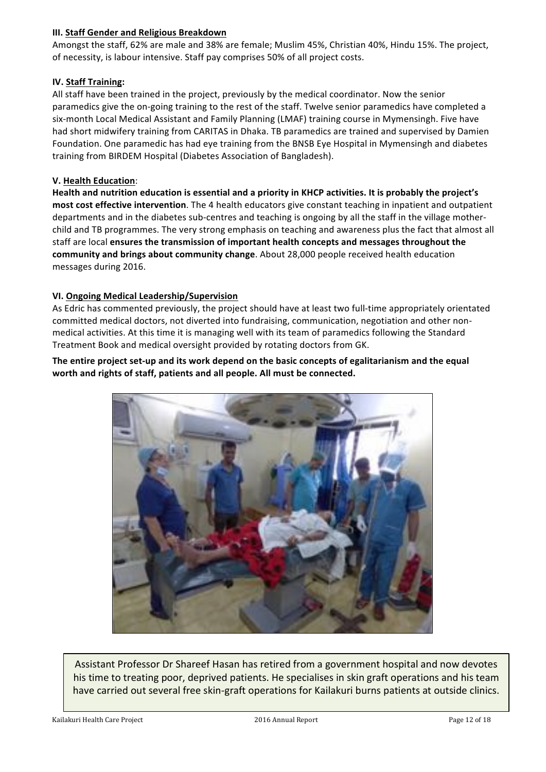#### **III. Staff Gender and Religious Breakdown**

Amongst the staff, 62% are male and 38% are female; Muslim 45%, Christian 40%, Hindu 15%. The project, of necessity, is labour intensive. Staff pay comprises 50% of all project costs.

#### **IV. Staff Training:**

All staff have been trained in the project, previously by the medical coordinator. Now the senior paramedics give the on-going training to the rest of the staff. Twelve senior paramedics have completed a six-month Local Medical Assistant and Family Planning (LMAF) training course in Mymensingh. Five have had short midwifery training from CARITAS in Dhaka. TB paramedics are trained and supervised by Damien Foundation. One paramedic has had eye training from the BNSB Eye Hospital in Mymensingh and diabetes training from BIRDEM Hospital (Diabetes Association of Bangladesh).

#### **V. Health Education**:

Health and nutrition education is essential and a priority in KHCP activities. It is probably the project's most cost effective intervention. The 4 health educators give constant teaching in inpatient and outpatient departments and in the diabetes sub-centres and teaching is ongoing by all the staff in the village motherchild and TB programmes. The very strong emphasis on teaching and awareness plus the fact that almost all staff are local **ensures the transmission of important health concepts and messages throughout the** community and brings about community change. About 28,000 people received health education messages during 2016.

#### **VI. Ongoing Medical Leadership/Supervision**

As Edric has commented previously, the project should have at least two full-time appropriately orientated committed medical doctors, not diverted into fundraising, communication, negotiation and other nonmedical activities. At this time it is managing well with its team of paramedics following the Standard Treatment Book and medical oversight provided by rotating doctors from GK.

#### The entire project set-up and its work depend on the basic concepts of egalitarianism and the equal worth and rights of staff, patients and all people. All must be connected.



Assistant Professor Dr Shareef Hasan has retired from a government hospital and now devotes his time to treating poor, deprived patients. He specialises in skin graft operations and his team have carried out several free skin-graft operations for Kailakuri burns patients at outside clinics.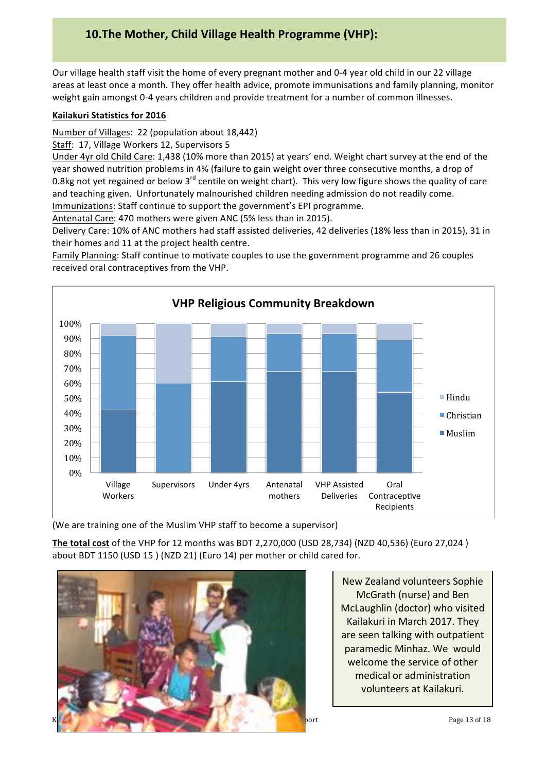# **10.The Mother, Child Village Health Programme (VHP):**

Our village health staff visit the home of every pregnant mother and 0-4 year old child in our 22 village areas at least once a month. They offer health advice, promote immunisations and family planning, monitor weight gain amongst 0-4 years children and provide treatment for a number of common illnesses.

#### **Kailakuri Statistics for 2016**

Number of Villages: 22 (population about 18,442)

Staff: 17, Village Workers 12, Supervisors 5

Under 4yr old Child Care: 1,438 (10% more than 2015) at years' end. Weight chart survey at the end of the year showed nutrition problems in 4% (failure to gain weight over three consecutive months, a drop of 0.8kg not yet regained or below  $3^{rd}$  centile on weight chart). This very low figure shows the quality of care and teaching given. Unfortunately malnourished children needing admission do not readily come. Immunizations: Staff continue to support the government's EPI programme.

Antenatal Care: 470 mothers were given ANC (5% less than in 2015).

Delivery Care: 10% of ANC mothers had staff assisted deliveries, 42 deliveries (18% less than in 2015), 31 in their homes and 11 at the project health centre.

Family Planning: Staff continue to motivate couples to use the government programme and 26 couples received oral contraceptives from the VHP.



(We are training one of the Muslim VHP staff to become a supervisor)

The total cost of the VHP for 12 months was BDT 2,270,000 (USD 28,734) (NZD 40,536) (Euro 27,024) about BDT 1150 (USD 15 ) (NZD 21) (Euro 14) per mother or child cared for.



New Zealand volunteers Sophie McGrath (nurse) and Ben McLaughlin (doctor) who visited Kailakuri in March 2017. They are seen talking with outpatient paramedic Minhaz. We would welcome the service of other medical or administration volunteers at Kailakuri.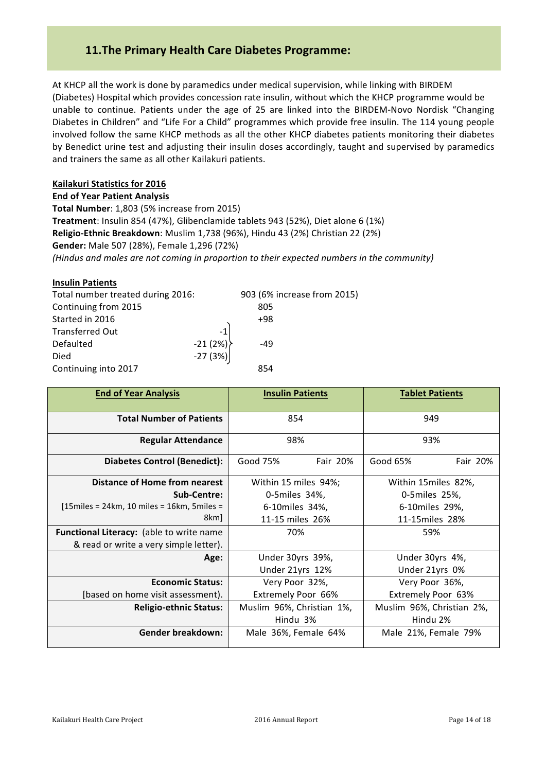# **11.The Primary Health Care Diabetes Programme:**

At KHCP all the work is done by paramedics under medical supervision, while linking with BIRDEM (Diabetes) Hospital which provides concession rate insulin, without which the KHCP programme would be unable to continue. Patients under the age of 25 are linked into the BIRDEM-Novo Nordisk "Changing Diabetes in Children" and "Life For a Child" programmes which provide free insulin. The 114 young people involved follow the same KHCP methods as all the other KHCP diabetes patients monitoring their diabetes by Benedict urine test and adjusting their insulin doses accordingly, taught and supervised by paramedics and trainers the same as all other Kailakuri patients.

#### **Kailakuri Statistics for 2016**

**End of Year Patient Analysis Total Number**: 1,803 (5% increase from 2015) **Treatment**: Insulin 854 (47%), Glibenclamide tablets 943 (52%), Diet alone 6 (1%) **Religio-Ethnic Breakdown**: Muslim 1,738 (96%), Hindu 43 (2%) Christian 22 (2%) **Gender:** Male 507 (28%), Female 1,296 (72%) (Hindus and males are not coming in proportion to their expected numbers in the community)

#### **Insulin Patients**

| Total number treated during 2016: |           | 903 (6% increase from 2015) |  |
|-----------------------------------|-----------|-----------------------------|--|
| Continuing from 2015              |           | 805                         |  |
| Started in 2016                   |           | $+98$                       |  |
| <b>Transferred Out</b>            | $-1$      |                             |  |
| Defaulted                         | $-21(2%)$ | -49                         |  |
| Died                              |           |                             |  |
| Continuing into 2017              |           | 854                         |  |
|                                   | $-27(3%)$ |                             |  |

| <b>End of Year Analysis</b>                   | <b>Insulin Patients</b>   | <b>Tablet Patients</b>    |  |
|-----------------------------------------------|---------------------------|---------------------------|--|
| <b>Total Number of Patients</b>               | 854                       | 949                       |  |
| <b>Regular Attendance</b>                     | 98%                       | 93%                       |  |
| <b>Diabetes Control (Benedict):</b>           | Good 75%<br>Fair 20%      | Good 65%<br>Fair 20%      |  |
| Distance of Home from nearest                 | Within 15 miles 94%;      | Within 15 miles 82%,      |  |
| Sub-Centre:                                   | 0-5 miles 34%,            | 0-5miles 25%,             |  |
| $[15$ miles = 24km, 10 miles = 16km, 5miles = | 6-10miles 34%,            | 6-10miles 29%,            |  |
| 8km                                           | 11-15 miles 26%           | 11-15miles 28%            |  |
| Functional Literacy: (able to write name      | 70%                       | 59%                       |  |
| & read or write a very simple letter).        |                           |                           |  |
| Age:                                          | Under 30yrs 39%,          | Under 30yrs 4%,           |  |
|                                               | Under 21yrs 12%           | Under 21yrs 0%            |  |
| <b>Economic Status:</b>                       | Very Poor 32%,            | Very Poor 36%,            |  |
| [based on home visit assessment].             | Extremely Poor 66%        | Extremely Poor 63%        |  |
| <b>Religio-ethnic Status:</b>                 | Muslim 96%, Christian 1%, | Muslim 96%, Christian 2%, |  |
|                                               | Hindu 3%                  | Hindu 2%                  |  |
| <b>Gender breakdown:</b>                      | Male 36%, Female 64%      | Male 21%, Female 79%      |  |
|                                               |                           |                           |  |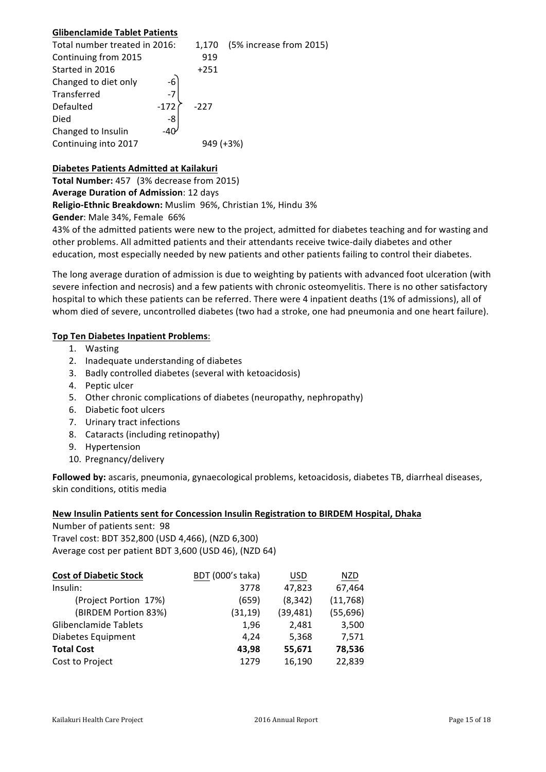#### **Glibenclamide Tablet Patients**

| Total number treated in 2016: |              | 1.170     | (5% increase from 2015) |
|-------------------------------|--------------|-----------|-------------------------|
| Continuing from 2015          |              | 919       |                         |
| Started in 2016               |              | $+251$    |                         |
| Changed to diet only          | $-6$         |           |                         |
| Transferred                   | $-7$         |           |                         |
| Defaulted                     | $-172$       | $-227$    |                         |
| Died                          | -8           |           |                         |
| Changed to Insulin            | -40 $\prime$ |           |                         |
| Continuing into 2017          |              | 949 (+3%) |                         |

#### **Diabetes Patients Admitted at Kailakuri**

**Total Number:** 457 (3% decrease from 2015) **Average Duration of Admission**: 12 days **Religio-Ethnic Breakdown:** Muslim 96%, Christian 1%, Hindu 3%

**Gender:** Male 34%, Female 66%

43% of the admitted patients were new to the project, admitted for diabetes teaching and for wasting and other problems. All admitted patients and their attendants receive twice-daily diabetes and other education, most especially needed by new patients and other patients failing to control their diabetes.

The long average duration of admission is due to weighting by patients with advanced foot ulceration (with severe infection and necrosis) and a few patients with chronic osteomyelitis. There is no other satisfactory hospital to which these patients can be referred. There were 4 inpatient deaths (1% of admissions), all of whom died of severe, uncontrolled diabetes (two had a stroke, one had pneumonia and one heart failure).

#### **Top Ten Diabetes Inpatient Problems**:

- 1. Wasting
- 2. Inadequate understanding of diabetes
- 3. Badly controlled diabetes (several with ketoacidosis)
- 4. Peptic ulcer
- 5. Other chronic complications of diabetes (neuropathy, nephropathy)
- 6. Diabetic foot ulcers
- 7. Urinary tract infections
- 8. Cataracts (including retinopathy)
- 9. Hypertension
- 10. Pregnancy/delivery

Followed by: ascaris, pneumonia, gynaecological problems, ketoacidosis, diabetes TB, diarrheal diseases, skin conditions, otitis media

#### **New Insulin Patients sent for Concession Insulin Registration to BIRDEM Hospital, Dhaka**

Number of patients sent: 98 Travel cost: BDT 352,800 (USD 4,466), (NZD 6,300) Average cost per patient BDT 3,600 (USD 46), (NZD 64)

| <b>Cost of Diabetic Stock</b> | BDT (000's taka) | USD       | <b>NZD</b> |
|-------------------------------|------------------|-----------|------------|
| Insulin:                      | 3778             | 47,823    | 67,464     |
| (Project Portion 17%)         | (659)            | (8, 342)  | (11,768)   |
| (BIRDEM Portion 83%)          | (31, 19)         | (39, 481) | (55, 696)  |
| Glibenclamide Tablets         | 1,96             | 2,481     | 3,500      |
| Diabetes Equipment            | 4.24             | 5,368     | 7,571      |
| <b>Total Cost</b>             | 43.98            | 55,671    | 78,536     |
| Cost to Project               | 1279             | 16,190    | 22,839     |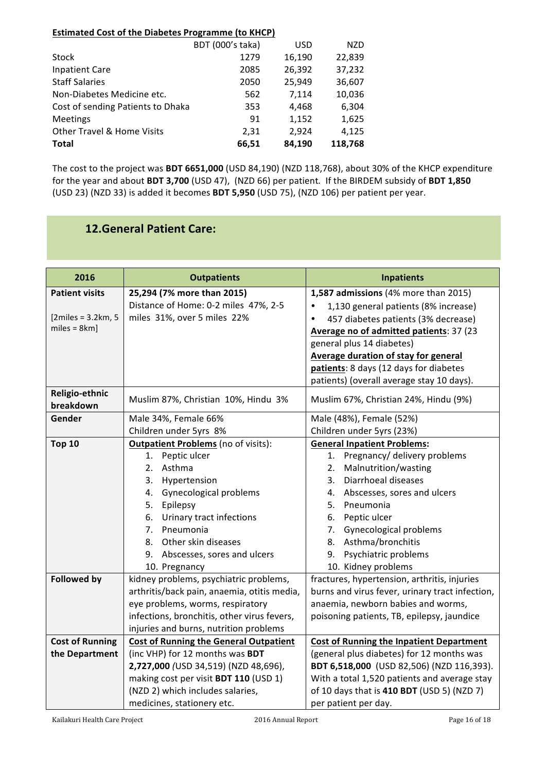#### **Estimated Cost of the Diabetes Programme (to KHCP)**

|                                       | BDT (000's taka) | <b>USD</b> | NZD     |
|---------------------------------------|------------------|------------|---------|
| Stock                                 | 1279             | 16,190     | 22,839  |
| <b>Inpatient Care</b>                 | 2085             | 26,392     | 37,232  |
| <b>Staff Salaries</b>                 | 2050             | 25,949     | 36,607  |
| Non-Diabetes Medicine etc.            | 562              | 7,114      | 10,036  |
| Cost of sending Patients to Dhaka     | 353              | 4,468      | 6,304   |
| <b>Meetings</b>                       | 91               | 1,152      | 1,625   |
| <b>Other Travel &amp; Home Visits</b> | 2,31             | 2.924      | 4,125   |
| <b>Total</b>                          | 66,51            | 84,190     | 118,768 |

The cost to the project was **BDT 6651,000** (USD 84,190) (NZD 118,768), about 30% of the KHCP expenditure for the year and about BDT 3,700 (USD 47), (NZD 66) per patient. If the BIRDEM subsidy of BDT 1,850 (USD 23) (NZD 33) is added it becomes **BDT 5,950** (USD 75), (NZD 106) per patient per year.

# **12.General Patient Care:**

| 2016                   | <b>Outpatients</b>                            | <b>Inpatients</b>                                 |
|------------------------|-----------------------------------------------|---------------------------------------------------|
| <b>Patient visits</b>  | 25,294 (7% more than 2015)                    | 1,587 admissions (4% more than 2015)              |
|                        | Distance of Home: 0-2 miles 47%, 2-5          | 1,130 general patients (8% increase)<br>$\bullet$ |
| $[2miles = 3.2km, 5]$  | miles 31%, over 5 miles 22%                   | 457 diabetes patients (3% decrease)               |
| $miles = 8km$ ]        |                                               | Average no of admitted patients: 37 (23           |
|                        |                                               | general plus 14 diabetes)                         |
|                        |                                               | Average duration of stay for general              |
|                        |                                               | patients: 8 days (12 days for diabetes            |
|                        |                                               | patients) (overall average stay 10 days).         |
| Religio-ethnic         | Muslim 87%, Christian 10%, Hindu 3%           | Muslim 67%, Christian 24%, Hindu (9%)             |
| breakdown              |                                               |                                                   |
| Gender                 | Male 34%, Female 66%                          | Male (48%), Female (52%)                          |
|                        | Children under 5yrs 8%                        | Children under 5yrs (23%)                         |
| <b>Top 10</b>          | <b>Outpatient Problems</b> (no of visits):    | <b>General Inpatient Problems:</b>                |
|                        | Peptic ulcer<br>1.                            | Pregnancy/ delivery problems<br>1.                |
|                        | Asthma<br>2.                                  | Malnutrition/wasting<br>2.                        |
|                        | 3.<br>Hypertension                            | Diarrhoeal diseases<br>3.                         |
|                        | <b>Gynecological problems</b><br>4.           | Abscesses, sores and ulcers<br>4.                 |
|                        | Epilepsy<br>5.                                | Pneumonia<br>5.                                   |
|                        | Urinary tract infections<br>6.                | Peptic ulcer<br>6.                                |
|                        | Pneumonia<br>7.                               | Gynecological problems<br>7.                      |
|                        | 8. Other skin diseases                        | 8.<br>Asthma/bronchitis                           |
|                        | 9. Abscesses, sores and ulcers                | 9.<br>Psychiatric problems                        |
|                        | 10. Pregnancy                                 | 10. Kidney problems                               |
| <b>Followed by</b>     | kidney problems, psychiatric problems,        | fractures, hypertension, arthritis, injuries      |
|                        | arthritis/back pain, anaemia, otitis media,   | burns and virus fever, urinary tract infection,   |
|                        | eye problems, worms, respiratory              | anaemia, newborn babies and worms,                |
|                        | infections, bronchitis, other virus fevers,   | poisoning patients, TB, epilepsy, jaundice        |
|                        | injuries and burns, nutrition problems        |                                                   |
| <b>Cost of Running</b> | <b>Cost of Running the General Outpatient</b> | <b>Cost of Running the Inpatient Department</b>   |
| the Department         | (inc VHP) for 12 months was BDT               | (general plus diabetes) for 12 months was         |
|                        | 2,727,000 (USD 34,519) (NZD 48,696),          | BDT 6,518,000 (USD 82,506) (NZD 116,393).         |
|                        | making cost per visit BDT 110 (USD 1)         | With a total 1,520 patients and average stay      |
|                        | (NZD 2) which includes salaries,              | of 10 days that is 410 BDT (USD 5) (NZD 7)        |
|                        | medicines, stationery etc.                    | per patient per day.                              |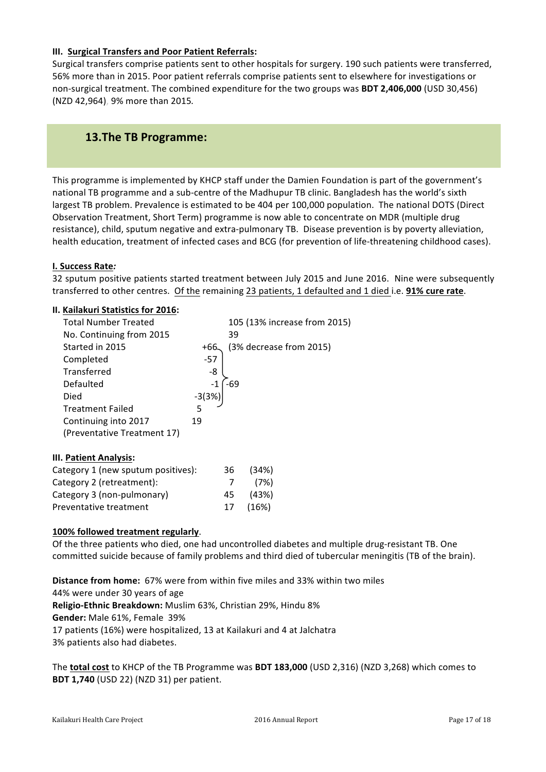#### **III. Surgical Transfers and Poor Patient Referrals:**

Surgical transfers comprise patients sent to other hospitals for surgery. 190 such patients were transferred, 56% more than in 2015. Poor patient referrals comprise patients sent to elsewhere for investigations or non-surgical treatment. The combined expenditure for the two groups was **BDT 2,406,000** (USD 30,456) (NZD 42,964), 9% more than 2015*.*

# **13.The TB Programme:**

This programme is implemented by KHCP staff under the Damien Foundation is part of the government's national TB programme and a sub-centre of the Madhupur TB clinic. Bangladesh has the world's sixth largest TB problem. Prevalence is estimated to be 404 per 100,000 population. The national DOTS (Direct Observation Treatment, Short Term) programme is now able to concentrate on MDR (multiple drug resistance), child, sputum negative and extra-pulmonary TB. Disease prevention is by poverty alleviation, health education, treatment of infected cases and BCG (for prevention of life-threatening childhood cases).

#### **I. Success Rate***:*

32 sputum positive patients started treatment between July 2015 and June 2016. Nine were subsequently transferred to other centres. Of the remaining 23 patients, 1 defaulted and 1 died i.e. **91% cure rate**.

#### **II. Kailakuri Statistics for 2016:**

| <b>Total Number Treated</b>        |         |     | 105 (13% increase from 2015) |  |
|------------------------------------|---------|-----|------------------------------|--|
| No. Continuing from 2015           |         | 39  |                              |  |
| Started in 2015                    | +66.    |     | (3% decrease from 2015)      |  |
| Completed                          | -57     |     |                              |  |
| Transferred                        | -8      |     |                              |  |
| Defaulted                          |         | -69 |                              |  |
| Died                               | $-3(3%$ |     |                              |  |
| <b>Treatment Failed</b>            | 5       |     |                              |  |
| Continuing into 2017               | 19      |     |                              |  |
| (Preventative Treatment 17)        |         |     |                              |  |
| III. Patient Analysis:             |         |     |                              |  |
| Category 1 (new sputum positives): |         | 36  | (34%)                        |  |
| Category 2 (retreatment):          |         |     | (7%)                         |  |

#### 100% followed treatment regularly.

Category 3 (non-pulmonary) 45 (43%) Preventative treatment 17 (16%)

Of the three patients who died, one had uncontrolled diabetes and multiple drug-resistant TB. One committed suicide because of family problems and third died of tubercular meningitis (TB of the brain).

**Distance from home:** 67% were from within five miles and 33% within two miles 44% were under 30 years of age **Religio-Ethnic Breakdown:** Muslim 63%, Christian 29%, Hindu 8% **Gender:** Male 61%, Female 39% 17 patients (16%) were hospitalized, 13 at Kailakuri and 4 at Jalchatra 3% patients also had diabetes.

The **total cost** to KHCP of the TB Programme was **BDT 183,000** (USD 2,316) (NZD 3,268) which comes to **BDT 1,740** (USD 22) (NZD 31) per patient.